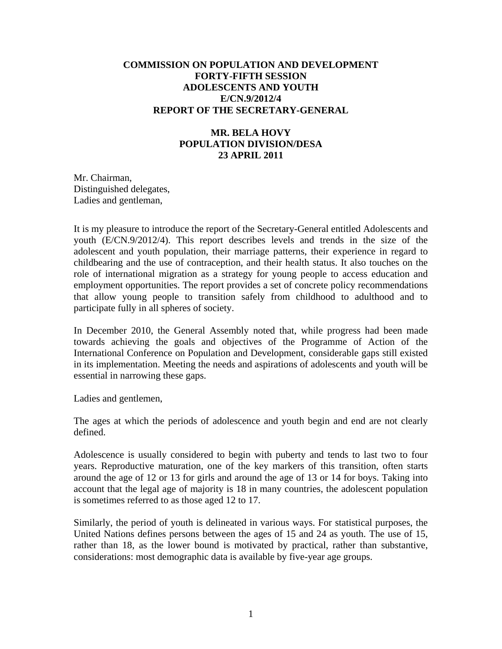## **COMMISSION ON POPULATION AND DEVELOPMENT FORTY-FIFTH SESSION ADOLESCENTS AND YOUTH E/CN.9/2012/4 REPORT OF THE SECRETARY-GENERAL**

## **MR. BELA HOVY POPULATION DIVISION/DESA 23 APRIL 2011**

Mr. Chairman, Distinguished delegates, Ladies and gentleman,

It is my pleasure to introduce the report of the Secretary-General entitled Adolescents and youth (E/CN.9/2012/4). This report describes levels and trends in the size of the adolescent and youth population, their marriage patterns, their experience in regard to childbearing and the use of contraception, and their health status. It also touches on the role of international migration as a strategy for young people to access education and employment opportunities. The report provides a set of concrete policy recommendations that allow young people to transition safely from childhood to adulthood and to participate fully in all spheres of society.

In December 2010, the General Assembly noted that, while progress had been made towards achieving the goals and objectives of the Programme of Action of the International Conference on Population and Development, considerable gaps still existed in its implementation. Meeting the needs and aspirations of adolescents and youth will be essential in narrowing these gaps.

Ladies and gentlemen,

The ages at which the periods of adolescence and youth begin and end are not clearly defined.

Adolescence is usually considered to begin with puberty and tends to last two to four years. Reproductive maturation, one of the key markers of this transition, often starts around the age of 12 or 13 for girls and around the age of 13 or 14 for boys. Taking into account that the legal age of majority is 18 in many countries, the adolescent population is sometimes referred to as those aged 12 to 17.

Similarly, the period of youth is delineated in various ways. For statistical purposes, the United Nations defines persons between the ages of 15 and 24 as youth. The use of 15, rather than 18, as the lower bound is motivated by practical, rather than substantive, considerations: most demographic data is available by five-year age groups.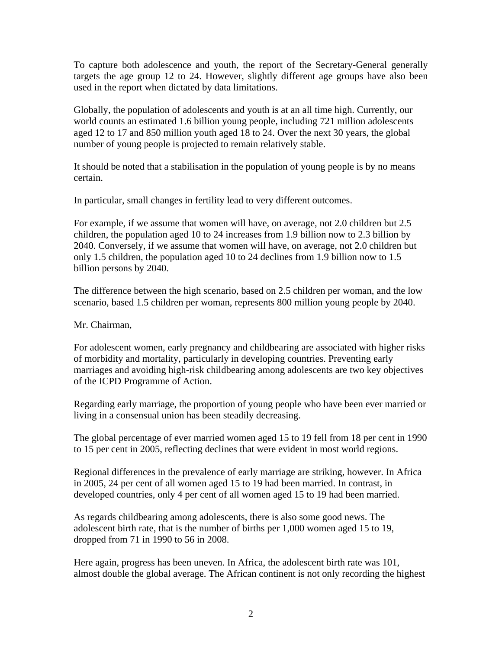To capture both adolescence and youth, the report of the Secretary-General generally targets the age group 12 to 24. However, slightly different age groups have also been used in the report when dictated by data limitations.

Globally, the population of adolescents and youth is at an all time high. Currently, our world counts an estimated 1.6 billion young people, including 721 million adolescents aged 12 to 17 and 850 million youth aged 18 to 24. Over the next 30 years, the global number of young people is projected to remain relatively stable.

It should be noted that a stabilisation in the population of young people is by no means certain.

In particular, small changes in fertility lead to very different outcomes.

For example, if we assume that women will have, on average, not 2.0 children but 2.5 children, the population aged 10 to 24 increases from 1.9 billion now to 2.3 billion by 2040. Conversely, if we assume that women will have, on average, not 2.0 children but only 1.5 children, the population aged 10 to 24 declines from 1.9 billion now to 1.5 billion persons by 2040.

The difference between the high scenario, based on 2.5 children per woman, and the low scenario, based 1.5 children per woman, represents 800 million young people by 2040.

Mr. Chairman,

For adolescent women, early pregnancy and childbearing are associated with higher risks of morbidity and mortality, particularly in developing countries. Preventing early marriages and avoiding high-risk childbearing among adolescents are two key objectives of the ICPD Programme of Action.

Regarding early marriage, the proportion of young people who have been ever married or living in a consensual union has been steadily decreasing.

The global percentage of ever married women aged 15 to 19 fell from 18 per cent in 1990 to 15 per cent in 2005, reflecting declines that were evident in most world regions.

Regional differences in the prevalence of early marriage are striking, however. In Africa in 2005, 24 per cent of all women aged 15 to 19 had been married. In contrast, in developed countries, only 4 per cent of all women aged 15 to 19 had been married.

As regards childbearing among adolescents, there is also some good news. The adolescent birth rate, that is the number of births per 1,000 women aged 15 to 19, dropped from 71 in 1990 to 56 in 2008.

Here again, progress has been uneven. In Africa, the adolescent birth rate was 101, almost double the global average. The African continent is not only recording the highest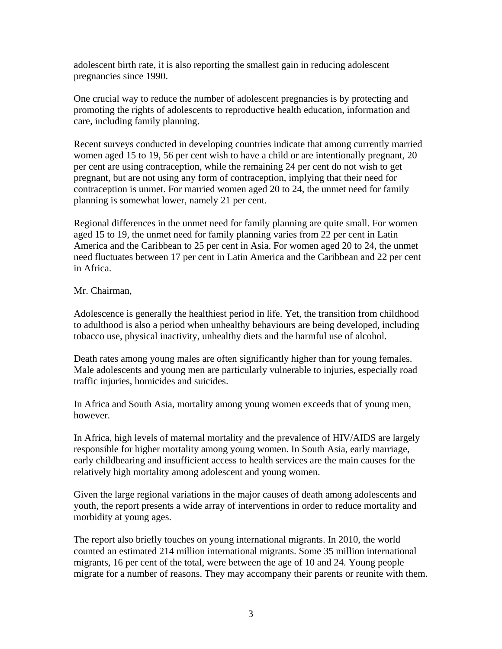adolescent birth rate, it is also reporting the smallest gain in reducing adolescent pregnancies since 1990.

One crucial way to reduce the number of adolescent pregnancies is by protecting and promoting the rights of adolescents to reproductive health education, information and care, including family planning.

Recent surveys conducted in developing countries indicate that among currently married women aged 15 to 19, 56 per cent wish to have a child or are intentionally pregnant, 20 per cent are using contraception, while the remaining 24 per cent do not wish to get pregnant, but are not using any form of contraception, implying that their need for contraception is unmet. For married women aged 20 to 24, the unmet need for family planning is somewhat lower, namely 21 per cent.

Regional differences in the unmet need for family planning are quite small. For women aged 15 to 19, the unmet need for family planning varies from 22 per cent in Latin America and the Caribbean to 25 per cent in Asia. For women aged 20 to 24, the unmet need fluctuates between 17 per cent in Latin America and the Caribbean and 22 per cent in Africa.

## Mr. Chairman,

Adolescence is generally the healthiest period in life. Yet, the transition from childhood to adulthood is also a period when unhealthy behaviours are being developed, including tobacco use, physical inactivity, unhealthy diets and the harmful use of alcohol.

Death rates among young males are often significantly higher than for young females. Male adolescents and young men are particularly vulnerable to injuries, especially road traffic injuries, homicides and suicides.

In Africa and South Asia, mortality among young women exceeds that of young men, however.

In Africa, high levels of maternal mortality and the prevalence of HIV/AIDS are largely responsible for higher mortality among young women. In South Asia, early marriage, early childbearing and insufficient access to health services are the main causes for the relatively high mortality among adolescent and young women.

Given the large regional variations in the major causes of death among adolescents and youth, the report presents a wide array of interventions in order to reduce mortality and morbidity at young ages.

The report also briefly touches on young international migrants. In 2010, the world counted an estimated 214 million international migrants. Some 35 million international migrants, 16 per cent of the total, were between the age of 10 and 24. Young people migrate for a number of reasons. They may accompany their parents or reunite with them.